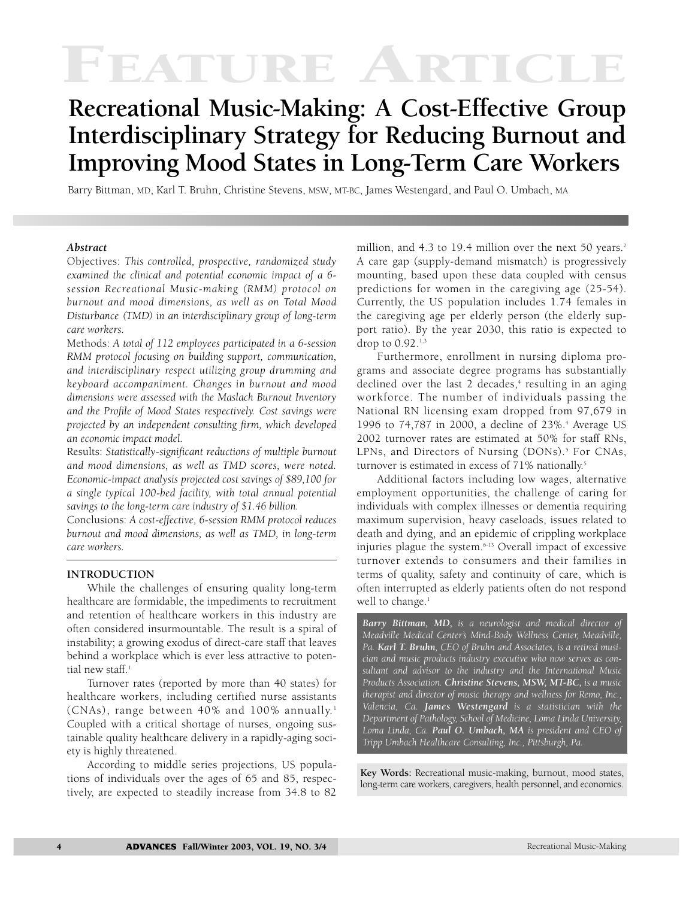# FEATURE ARTIC

# **Recreational Music-Making: A Cost-Effective Group Interdisciplinary Strategy for Reducing Burnout and Improving Mood States in Long-Term Care Workers**

Barry Bittman, MD, Karl T. Bruhn, Christine Stevens, MSW, MT-BC, James Westengard, and Paul O. Umbach, MA

#### *Abstract*

Objectives: *This controlled, prospective, randomized study examined the clinical and potential economic impact of a 6 session Recreational Music-making (RMM) protocol on burnout and mood dimensions, as well as on Total Mood Disturbance (TMD) in an interdisciplinary group of long-term care workers.*

Methods: *A total of 112 employees participated in a 6-session RMM protocol focusing on building support, communication, and interdisciplinary respect utilizing group drumming and keyboard accompaniment. Changes in burnout and mood dimensions were assessed with the Maslach Burnout Inventory and the Profile of Mood States respectively. Cost savings were projected by an independent consulting firm, which developed an economic impact model.*

Results: *Statistically-significant reductions of multiple burnout and mood dimensions, as well as TMD scores, were noted. Economic-impact analysis projected cost savings of \$89,100 for a single typical 100-bed facility, with total annual potential savings to the long-term care industry of \$1.46 billion.*

Conclusions: *A cost-effective, 6-session RMM protocol reduces burnout and mood dimensions, as well as TMD, in long-term care workers.*

#### **INTRODUCTION**

While the challenges of ensuring quality long-term healthcare are formidable, the impediments to recruitment and retention of healthcare workers in this industry are often considered insurmountable. The result is a spiral of instability; a growing exodus of direct-care staff that leaves behind a workplace which is ever less attractive to potential new staff.<sup>1</sup>

Turnover rates (reported by more than 40 states) for healthcare workers, including certified nurse assistants (CNAs), range between 40% and 100% annually.<sup>1</sup> Coupled with a critical shortage of nurses, ongoing sustainable quality healthcare delivery in a rapidly-aging society is highly threatened.

According to middle series projections, US populations of individuals over the ages of 65 and 85, respectively, are expected to steadily increase from 34.8 to 82 million, and 4.3 to 19.4 million over the next 50 years.<sup>2</sup> A care gap (supply-demand mismatch) is progressively mounting, based upon these data coupled with census predictions for women in the caregiving age (25-54). Currently, the US population includes 1.74 females in the caregiving age per elderly person (the elderly support ratio). By the year 2030, this ratio is expected to drop to 0.92.1,3

Furthermore, enrollment in nursing diploma programs and associate degree programs has substantially declined over the last 2 decades, $4$  resulting in an aging workforce. The number of individuals passing the National RN licensing exam dropped from 97,679 in 1996 to 74,787 in 2000, a decline of 23%.<sup>4</sup> Average US 2002 turnover rates are estimated at 50% for staff RNs, LPNs, and Directors of Nursing (DONs).<sup>5</sup> For CNAs, turnover is estimated in excess of 71% nationally.<sup>5</sup>

Additional factors including low wages, alternative employment opportunities, the challenge of caring for individuals with complex illnesses or dementia requiring maximum supervision, heavy caseloads, issues related to death and dying, and an epidemic of crippling workplace injuries plague the system.6-13 Overall impact of excessive turnover extends to consumers and their families in terms of quality, safety and continuity of care, which is often interrupted as elderly patients often do not respond well to change. $1$ 

*Barry Bittman, MD, is a neurologist and medical director of Meadville Medical Center's Mind-Body Wellness Center, Meadville, Pa. Karl T. Bruhn, CEO of Bruhn and Associates, is a retired musician and music products industry executive who now serves as consultant and advisor to the industry and the International Music Products Association. Christine Stevens, MSW, MT-BC, is a music therapist and director of music therapy and wellness for Remo, Inc., Valencia, Ca. James Westengard is a statistician with the Department of Pathology, School of Medicine, Loma Linda University, Loma Linda, Ca. Paul O. Umbach, MA is president and CEO of Tripp Umbach Healthcare Consulting, Inc., Pittsburgh, Pa.*

**Key Words:** Recreational music-making, burnout, mood states, long-term care workers, caregivers, health personnel, and economics.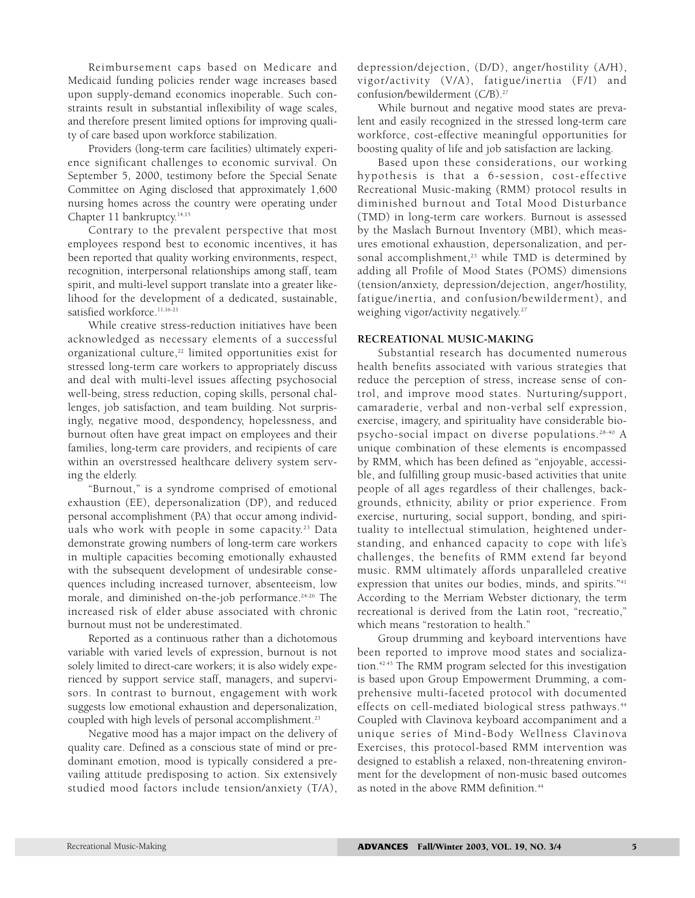Reimbursement caps based on Medicare and Medicaid funding policies render wage increases based upon supply-demand economics inoperable. Such constraints result in substantial inflexibility of wage scales, and therefore present limited options for improving quality of care based upon workforce stabilization.

Providers (long-term care facilities) ultimately experience significant challenges to economic survival. On September 5, 2000, testimony before the Special Senate Committee on Aging disclosed that approximately 1,600 nursing homes across the country were operating under Chapter 11 bankruptcy.<sup>14,15</sup>

Contrary to the prevalent perspective that most employees respond best to economic incentives, it has been reported that quality working environments, respect, recognition, interpersonal relationships among staff, team spirit, and multi-level support translate into a greater likelihood for the development of a dedicated, sustainable, satisfied workforce.<sup>11,16-21</sup>

While creative stress-reduction initiatives have been acknowledged as necessary elements of a successful organizational culture,<sup>22</sup> limited opportunities exist for stressed long-term care workers to appropriately discuss and deal with multi-level issues affecting psychosocial well-being, stress reduction, coping skills, personal challenges, job satisfaction, and team building. Not surprisingly, negative mood, despondency, hopelessness, and burnout often have great impact on employees and their families, long-term care providers, and recipients of care within an overstressed healthcare delivery system serving the elderly.

"Burnout," is a syndrome comprised of emotional exhaustion (EE), depersonalization (DP), and reduced personal accomplishment (PA) that occur among individuals who work with people in some capacity.<sup>23</sup> Data demonstrate growing numbers of long-term care workers in multiple capacities becoming emotionally exhausted with the subsequent development of undesirable consequences including increased turnover, absenteeism, low morale, and diminished on-the-job performance.<sup>24-26</sup> The increased risk of elder abuse associated with chronic burnout must not be underestimated.

Reported as a continuous rather than a dichotomous variable with varied levels of expression, burnout is not solely limited to direct-care workers; it is also widely experienced by support service staff, managers, and supervisors. In contrast to burnout, engagement with work suggests low emotional exhaustion and depersonalization, coupled with high levels of personal accomplishment.23

Negative mood has a major impact on the delivery of quality care. Defined as a conscious state of mind or predominant emotion, mood is typically considered a prevailing attitude predisposing to action. Six extensively studied mood factors include tension/anxiety (T/A),

depression/dejection, (D/D), anger/hostility (A/H), vigor/activity (V/A), fatigue/inertia (F/I) and confusion/bewilderment (C/B).27

While burnout and negative mood states are prevalent and easily recognized in the stressed long-term care workforce, cost-effective meaningful opportunities for boosting quality of life and job satisfaction are lacking.

Based upon these considerations, our working hypothesis is that a 6-session, cost-effective Recreational Music-making (RMM) protocol results in diminished burnout and Total Mood Disturbance (TMD) in long-term care workers. Burnout is assessed by the Maslach Burnout Inventory (MBI), which measures emotional exhaustion, depersonalization, and personal accomplishment,<sup>23</sup> while TMD is determined by adding all Profile of Mood States (POMS) dimensions (tension/anxiety, depression/dejection, anger/hostility, fatigue/inertia, and confusion/bewilderment), and weighing vigor/activity negatively.<sup>27</sup>

#### **RECREATIONAL MUSIC-MAKING**

Substantial research has documented numerous health benefits associated with various strategies that reduce the perception of stress, increase sense of control, and improve mood states. Nurturing/support, camaraderie, verbal and non-verbal self expression, exercise, imagery, and spirituality have considerable biopsycho-social impact on diverse populations. 28-40 A unique combination of these elements is encompassed by RMM, which has been defined as "enjoyable, accessible, and fulfilling group music-based activities that unite people of all ages regardless of their challenges, backgrounds, ethnicity, ability or prior experience. From exercise, nurturing, social support, bonding, and spirituality to intellectual stimulation, heightened understanding, and enhanced capacity to cope with life's challenges, the benefits of RMM extend far beyond music. RMM ultimately affords unparalleled creative expression that unites our bodies, minds, and spirits."<sup>41</sup> According to the Merriam Webster dictionary, the term recreational is derived from the Latin root, "recreatio," which means "restoration to health."

Group drumming and keyboard interventions have been reported to improve mood states and socialization.42.43 The RMM program selected for this investigation is based upon Group Empowerment Drumming, a comprehensive multi-faceted protocol with documented effects on cell-mediated biological stress pathways.<sup>44</sup> Coupled with Clavinova keyboard accompaniment and a unique series of Mind-Body Wellness Clavinova Exercises, this protocol-based RMM intervention was designed to establish a relaxed, non-threatening environment for the development of non-music based outcomes as noted in the above RMM definition.<sup>44</sup>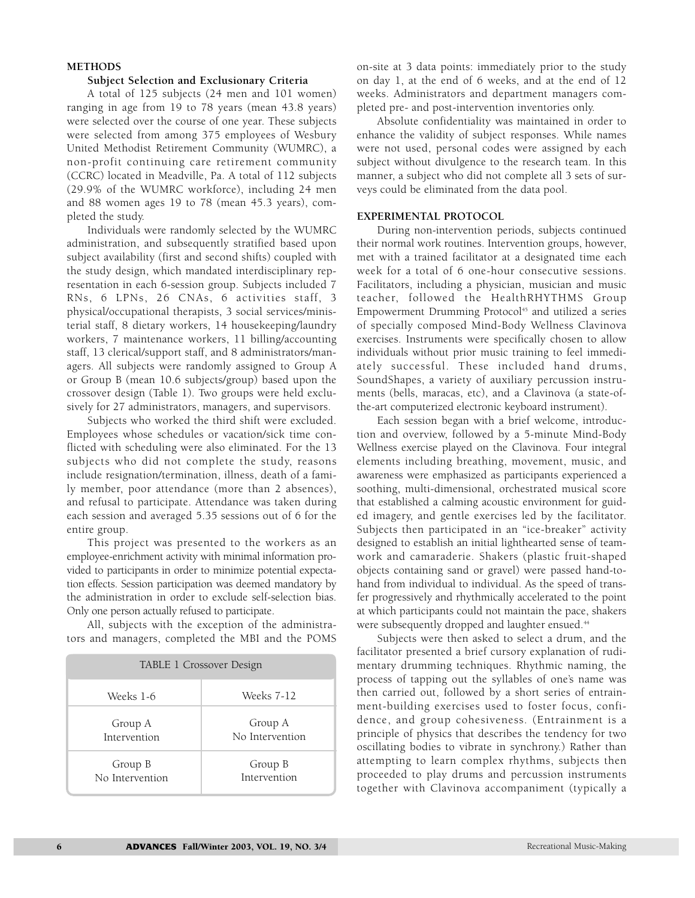#### **METHODS**

#### **Subject Selection and Exclusionary Criteria**

A total of 125 subjects (24 men and 101 women) ranging in age from 19 to 78 years (mean 43.8 years) were selected over the course of one year. These subjects were selected from among 375 employees of Wesbury United Methodist Retirement Community (WUMRC), a non-profit continuing care retirement community (CCRC) located in Meadville, Pa. A total of 112 subjects (29.9% of the WUMRC workforce), including 24 men and 88 women ages 19 to 78 (mean 45.3 years), completed the study.

Individuals were randomly selected by the WUMRC administration, and subsequently stratified based upon subject availability (first and second shifts) coupled with the study design, which mandated interdisciplinary representation in each 6-session group. Subjects included 7 RNs, 6 LPNs, 26 CNAs, 6 activities staff, 3 physical/occupational therapists, 3 social services/ministerial staff, 8 dietary workers, 14 housekeeping/laundry workers, 7 maintenance workers, 11 billing/accounting staff, 13 clerical/support staff, and 8 administrators/managers. All subjects were randomly assigned to Group A or Group B (mean 10.6 subjects/group) based upon the crossover design (Table 1). Two groups were held exclusively for 27 administrators, managers, and supervisors.

Subjects who worked the third shift were excluded. Employees whose schedules or vacation/sick time conflicted with scheduling were also eliminated. For the 13 subjects who did not complete the study, reasons include resignation/termination, illness, death of a family member, poor attendance (more than 2 absences), and refusal to participate. Attendance was taken during each session and averaged 5.35 sessions out of 6 for the entire group.

This project was presented to the workers as an employee-enrichment activity with minimal information provided to participants in order to minimize potential expectation effects. Session participation was deemed mandatory by the administration in order to exclude self-selection bias. Only one person actually refused to participate.

All, subjects with the exception of the administrators and managers, completed the MBI and the POMS

| TABLE 1 Crossover Design |                 |  |  |  |  |
|--------------------------|-----------------|--|--|--|--|
| Weeks 1-6                | Weeks 7-12      |  |  |  |  |
| Group A                  | Group A         |  |  |  |  |
| Intervention             | No Intervention |  |  |  |  |
| Group B                  | Group B         |  |  |  |  |
| No Intervention          | Intervention    |  |  |  |  |

on-site at 3 data points: immediately prior to the study on day 1, at the end of 6 weeks, and at the end of 12 weeks. Administrators and department managers completed pre- and post-intervention inventories only.

Absolute confidentiality was maintained in order to enhance the validity of subject responses. While names were not used, personal codes were assigned by each subject without divulgence to the research team. In this manner, a subject who did not complete all 3 sets of surveys could be eliminated from the data pool.

#### **EXPERIMENTAL PROTOCOL**

During non-intervention periods, subjects continued their normal work routines. Intervention groups, however, met with a trained facilitator at a designated time each week for a total of 6 one-hour consecutive sessions. Facilitators, including a physician, musician and music teacher, followed the HealthRHYTHMS Group Empowerment Drumming Protocol<sup>45</sup> and utilized a series of specially composed Mind-Body Wellness Clavinova exercises. Instruments were specifically chosen to allow individuals without prior music training to feel immediately successful. These included hand drums, SoundShapes, a variety of auxiliary percussion instruments (bells, maracas, etc), and a Clavinova (a state-ofthe-art computerized electronic keyboard instrument).

Each session began with a brief welcome, introduction and overview, followed by a 5-minute Mind-Body Wellness exercise played on the Clavinova. Four integral elements including breathing, movement, music, and awareness were emphasized as participants experienced a soothing, multi-dimensional, orchestrated musical score that established a calming acoustic environment for guided imagery, and gentle exercises led by the facilitator. Subjects then participated in an "ice-breaker" activity designed to establish an initial lighthearted sense of teamwork and camaraderie. Shakers (plastic fruit-shaped objects containing sand or gravel) were passed hand-tohand from individual to individual. As the speed of transfer progressively and rhythmically accelerated to the point at which participants could not maintain the pace, shakers were subsequently dropped and laughter ensued.<sup>44</sup>

Subjects were then asked to select a drum, and the facilitator presented a brief cursory explanation of rudimentary drumming techniques. Rhythmic naming, the process of tapping out the syllables of one's name was then carried out, followed by a short series of entrainment-building exercises used to foster focus, confidence, and group cohesiveness. (Entrainment is a principle of physics that describes the tendency for two oscillating bodies to vibrate in synchrony.) Rather than attempting to learn complex rhythms, subjects then proceeded to play drums and percussion instruments together with Clavinova accompaniment (typically a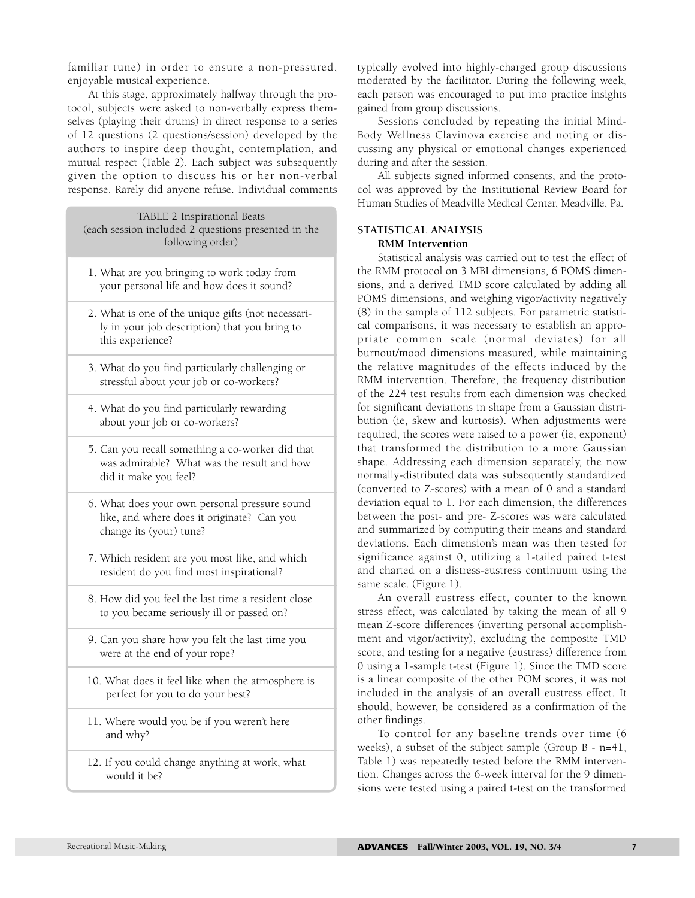familiar tune) in order to ensure a non-pressured, enjoyable musical experience.

At this stage, approximately halfway through the protocol, subjects were asked to non-verbally express themselves (playing their drums) in direct response to a series of 12 questions (2 questions/session) developed by the authors to inspire deep thought, contemplation, and mutual respect (Table 2). Each subject was subsequently given the option to discuss his or her non-verbal response. Rarely did anyone refuse. Individual comments

#### TABLE 2 Inspirational Beats (each session included 2 questions presented in the following order)

- 1. What are you bringing to work today from your personal life and how does it sound?
- 2. What is one of the unique gifts (not necessarily in your job description) that you bring to this experience?
- 3. What do you find particularly challenging or stressful about your job or co-workers?
- 4. What do you find particularly rewarding about your job or co-workers?
- 5. Can you recall something a co-worker did that was admirable? What was the result and how did it make you feel?
- 6. What does your own personal pressure sound like, and where does it originate? Can you change its (your) tune?
- 7. Which resident are you most like, and which resident do you find most inspirational?
- 8. How did you feel the last time a resident close to you became seriously ill or passed on?
- 9. Can you share how you felt the last time you were at the end of your rope?
- 10. What does it feel like when the atmosphere is perfect for you to do your best?
- 11. Where would you be if you weren't here and why?
- 12. If you could change anything at work, what would it be?

typically evolved into highly-charged group discussions moderated by the facilitator. During the following week, each person was encouraged to put into practice insights gained from group discussions.

Sessions concluded by repeating the initial Mind-Body Wellness Clavinova exercise and noting or discussing any physical or emotional changes experienced during and after the session.

All subjects signed informed consents, and the protocol was approved by the Institutional Review Board for Human Studies of Meadville Medical Center, Meadville, Pa.

## **STATISTICAL ANALYSIS RMM Intervention**

Statistical analysis was carried out to test the effect of the RMM protocol on 3 MBI dimensions, 6 POMS dimensions, and a derived TMD score calculated by adding all POMS dimensions, and weighing vigor/activity negatively (8) in the sample of 112 subjects. For parametric statistical comparisons, it was necessary to establish an appropriate common scale (normal deviates) for all burnout/mood dimensions measured, while maintaining the relative magnitudes of the effects induced by the RMM intervention. Therefore, the frequency distribution of the 224 test results from each dimension was checked for significant deviations in shape from a Gaussian distribution (ie, skew and kurtosis). When adjustments were required, the scores were raised to a power (ie, exponent) that transformed the distribution to a more Gaussian shape. Addressing each dimension separately, the now normally-distributed data was subsequently standardized (converted to Z-scores) with a mean of 0 and a standard deviation equal to 1. For each dimension, the differences between the post- and pre- Z-scores was were calculated and summarized by computing their means and standard deviations. Each dimension's mean was then tested for significance against 0, utilizing a 1-tailed paired t-test and charted on a distress-eustress continuum using the same scale. (Figure 1).

An overall eustress effect, counter to the known stress effect, was calculated by taking the mean of all 9 mean Z-score differences (inverting personal accomplishment and vigor/activity), excluding the composite TMD score, and testing for a negative (eustress) difference from 0 using a 1-sample t-test (Figure 1). Since the TMD score is a linear composite of the other POM scores, it was not included in the analysis of an overall eustress effect. It should, however, be considered as a confirmation of the other findings.

To control for any baseline trends over time (6 weeks), a subset of the subject sample (Group B - n=41, Table 1) was repeatedly tested before the RMM intervention. Changes across the 6-week interval for the 9 dimensions were tested using a paired t-test on the transformed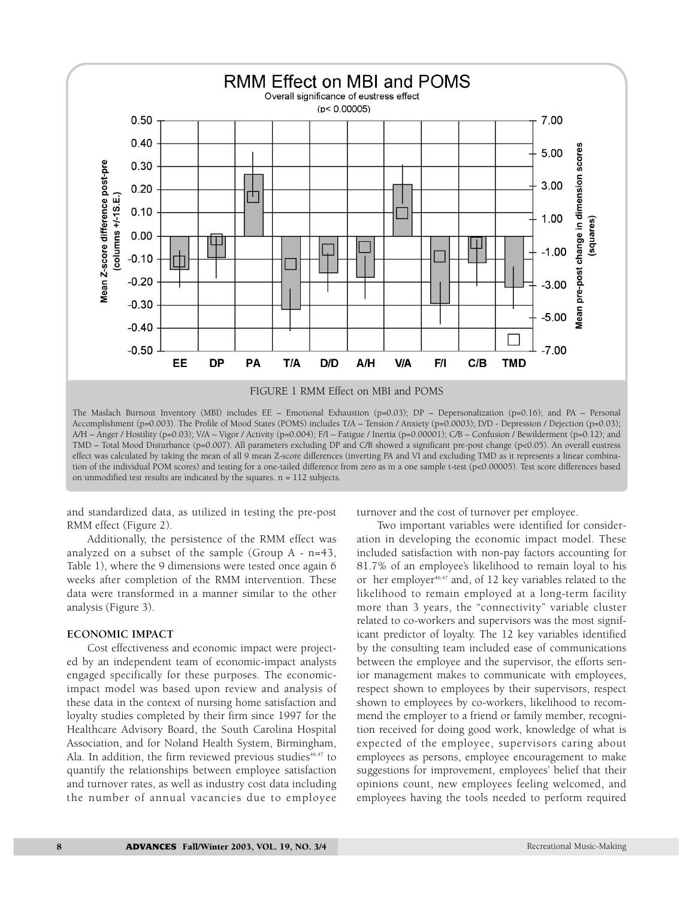

The Maslach Burnout Inventory (MBI) includes EE – Emotional Exhaustion (p=0.03); DP – Depersonalization (p=0.16); and PA – Personal Accomplishment (p=0.003). The Profile of Mood States (POMS) includes T/A – Tension / Anxiety (p=0.0003); D/D - Depression / Dejection (p=0.03); A/H – Anger / Hostility (p=0.03); V/A – Vigor / Activity (p=0.004); F/I – Fatigue / Inertia (p=0.00001); C/B – Confusion / Bewilderment (p=0.12); and TMD – Total Mood Disturbance (p=0.007). All parameters excluding DP and C/B showed a significant pre-post change (p<0.05). An overall eustress effect was calculated by taking the mean of all 9 mean Z-score differences (inverting PA and VI and excluding TMD as it represents a linear combination of the individual POM scores) and testing for a one-tailed difference from zero as in a one sample t-test (p<0.00005). Test score differences based on unmodified test results are indicated by the squares. n = 112 subjects.

and standardized data, as utilized in testing the pre-post RMM effect (Figure 2).

Additionally, the persistence of the RMM effect was analyzed on a subset of the sample (Group A - n=43, Table 1), where the 9 dimensions were tested once again 6 weeks after completion of the RMM intervention. These data were transformed in a manner similar to the other analysis (Figure 3).

#### **ECONOMIC IMPACT**

Cost effectiveness and economic impact were projected by an independent team of economic-impact analysts engaged specifically for these purposes. The economicimpact model was based upon review and analysis of these data in the context of nursing home satisfaction and loyalty studies completed by their firm since 1997 for the Healthcare Advisory Board, the South Carolina Hospital Association, and for Noland Health System, Birmingham, Ala. In addition, the firm reviewed previous studies $46,47$  to quantify the relationships between employee satisfaction and turnover rates, as well as industry cost data including the number of annual vacancies due to employee

turnover and the cost of turnover per employee.

Two important variables were identified for consideration in developing the economic impact model. These included satisfaction with non-pay factors accounting for 81.7% of an employee's likelihood to remain loyal to his or her employer<sup>46,47</sup> and, of 12 key variables related to the likelihood to remain employed at a long-term facility more than 3 years, the "connectivity" variable cluster related to co-workers and supervisors was the most significant predictor of loyalty. The 12 key variables identified by the consulting team included ease of communications between the employee and the supervisor, the efforts senior management makes to communicate with employees, respect shown to employees by their supervisors, respect shown to employees by co-workers, likelihood to recommend the employer to a friend or family member, recognition received for doing good work, knowledge of what is expected of the employee, supervisors caring about employees as persons, employee encouragement to make suggestions for improvement, employees' belief that their opinions count, new employees feeling welcomed, and employees having the tools needed to perform required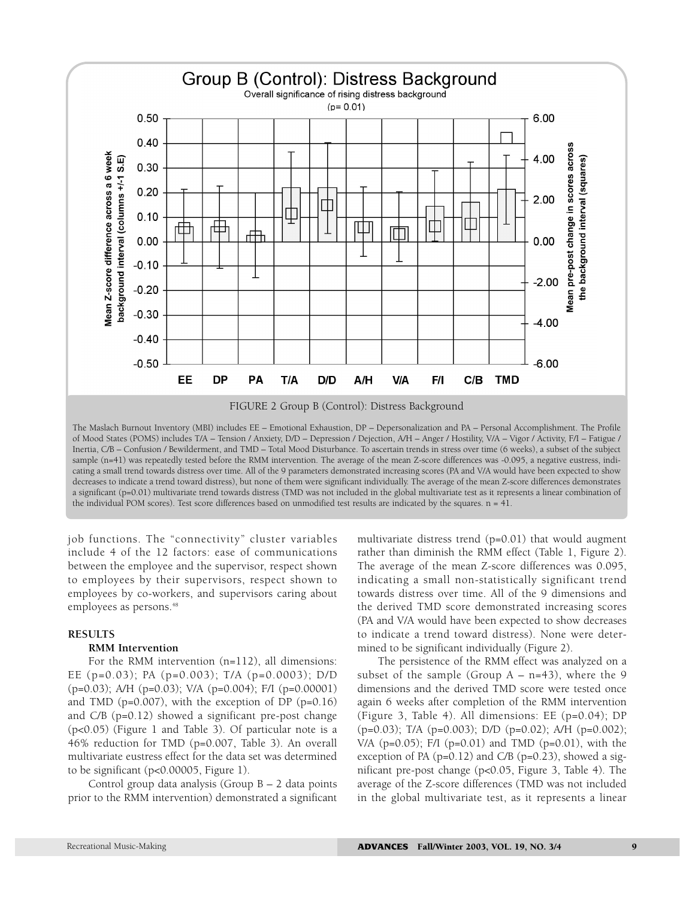

FIGURE 2 Group B (Control): Distress Background

The Maslach Burnout Inventory (MBI) includes EE – Emotional Exhaustion, DP – Depersonalization and PA – Personal Accomplishment. The Profile of Mood States (POMS) includes T/A – Tension / Anxiety, D/D – Depression / Dejection, A/H – Anger / Hostility, V/A – Vigor / Activity, F/I – Fatigue / Inertia, C/B – Confusion / Bewilderment, and TMD – Total Mood Disturbance. To ascertain trends in stress over time (6 weeks), a subset of the subject sample (n=41) was repeatedly tested before the RMM intervention. The average of the mean Z-score differences was -0.095, a negative eustress, indicating a small trend towards distress over time. All of the 9 parameters demonstrated increasing scores (PA and V/A would have been expected to show decreases to indicate a trend toward distress), but none of them were significant individually. The average of the mean Z-score differences demonstrates a significant (p=0.01) multivariate trend towards distress (TMD was not included in the global multivariate test as it represents a linear combination of the individual POM scores). Test score differences based on unmodified test results are indicated by the squares. n = 41.

job functions. The "connectivity" cluster variables include 4 of the 12 factors: ease of communications between the employee and the supervisor, respect shown to employees by their supervisors, respect shown to employees by co-workers, and supervisors caring about employees as persons.<sup>48</sup>

#### **RESULTS**

### **RMM Intervention**

For the RMM intervention (n=112), all dimensions: EE (p=0.03); PA (p=0.003); T/A (p=0.0003); D/D (p=0.03); A/H (p=0.03); V/A (p=0.004); F/I (p=0.00001) and TMD ( $p=0.007$ ), with the exception of DP ( $p=0.16$ ) and C/B (p=0.12) showed a significant pre-post change (p<0.05) (Figure 1 and Table 3). Of particular note is a 46% reduction for TMD (p=0.007, Table 3). An overall multivariate eustress effect for the data set was determined to be significant (p<0.00005, Figure 1).

Control group data analysis (Group B – 2 data points prior to the RMM intervention) demonstrated a significant

multivariate distress trend (p=0.01) that would augment rather than diminish the RMM effect (Table 1, Figure 2). The average of the mean Z-score differences was 0.095, indicating a small non-statistically significant trend towards distress over time. All of the 9 dimensions and the derived TMD score demonstrated increasing scores (PA and V/A would have been expected to show decreases to indicate a trend toward distress). None were determined to be significant individually (Figure 2).

The persistence of the RMM effect was analyzed on a subset of the sample (Group  $A - n=43$ ), where the 9 dimensions and the derived TMD score were tested once again 6 weeks after completion of the RMM intervention (Figure 3, Table 4). All dimensions: EE (p=0.04); DP (p=0.03); T/A (p=0.003); D/D (p=0.02); A/H (p=0.002); V/A (p=0.05); F/I (p=0.01) and TMD (p=0.01), with the exception of PA ( $p=0.12$ ) and C/B ( $p=0.23$ ), showed a significant pre-post change (p<0.05, Figure 3, Table 4). The average of the Z-score differences (TMD was not included in the global multivariate test, as it represents a linear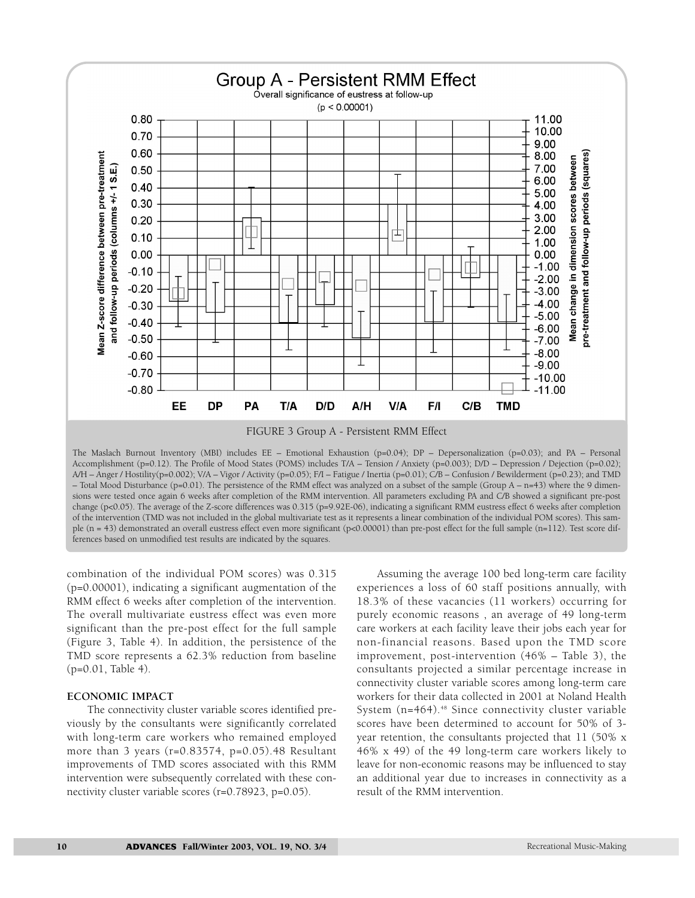

FIGURE 3 Group A - Persistent RMM Effect

The Maslach Burnout Inventory (MBI) includes EE – Emotional Exhaustion (p=0.04); DP – Depersonalization (p=0.03); and PA – Personal Accomplishment (p=0.12). The Profile of Mood States (POMS) includes T/A – Tension / Anxiety (p=0.003); D/D – Depression / Dejection (p=0.02); A/H – Anger / Hostility(p=0.002); V/A – Vigor / Activity (p=0.05); F/I – Fatigue / Inertia (p=0.01); C/B – Confusion / Bewilderment (p=0.23); and TMD – Total Mood Disturbance (p=0.01). The persistence of the RMM effect was analyzed on a subset of the sample (Group A – n=43) where the 9 dimensions were tested once again 6 weeks after completion of the RMM intervention. All parameters excluding PA and C/B showed a significant pre-post change (p<0.05). The average of the Z-score differences was 0.315 (p=9.92E-06), indicating a significant RMM eustress effect 6 weeks after completion of the intervention (TMD was not included in the global multivariate test as it represents a linear combination of the individual POM scores). This sample (n = 43) demonstrated an overall eustress effect even more significant (p<0.00001) than pre-post effect for the full sample (n=112). Test score differences based on unmodified test results are indicated by the squares.

combination of the individual POM scores) was 0.315 (p=0.00001), indicating a significant augmentation of the RMM effect 6 weeks after completion of the intervention. The overall multivariate eustress effect was even more significant than the pre-post effect for the full sample (Figure 3, Table 4). In addition, the persistence of the TMD score represents a 62.3% reduction from baseline (p=0.01, Table 4).

#### **ECONOMIC IMPACT**

The connectivity cluster variable scores identified previously by the consultants were significantly correlated with long-term care workers who remained employed more than 3 years (r=0.83574, p=0.05).48 Resultant improvements of TMD scores associated with this RMM intervention were subsequently correlated with these connectivity cluster variable scores (r=0.78923, p=0.05).

Assuming the average 100 bed long-term care facility experiences a loss of 60 staff positions annually, with 18.3% of these vacancies (11 workers) occurring for purely economic reasons , an average of 49 long-term care workers at each facility leave their jobs each year for non-financial reasons. Based upon the TMD score improvement, post-intervention (46% – Table 3), the consultants projected a similar percentage increase in connectivity cluster variable scores among long-term care workers for their data collected in 2001 at Noland Health System (n=464).<sup>48</sup> Since connectivity cluster variable scores have been determined to account for 50% of 3 year retention, the consultants projected that 11 (50% x 46% x 49) of the 49 long-term care workers likely to leave for non-economic reasons may be influenced to stay an additional year due to increases in connectivity as a result of the RMM intervention.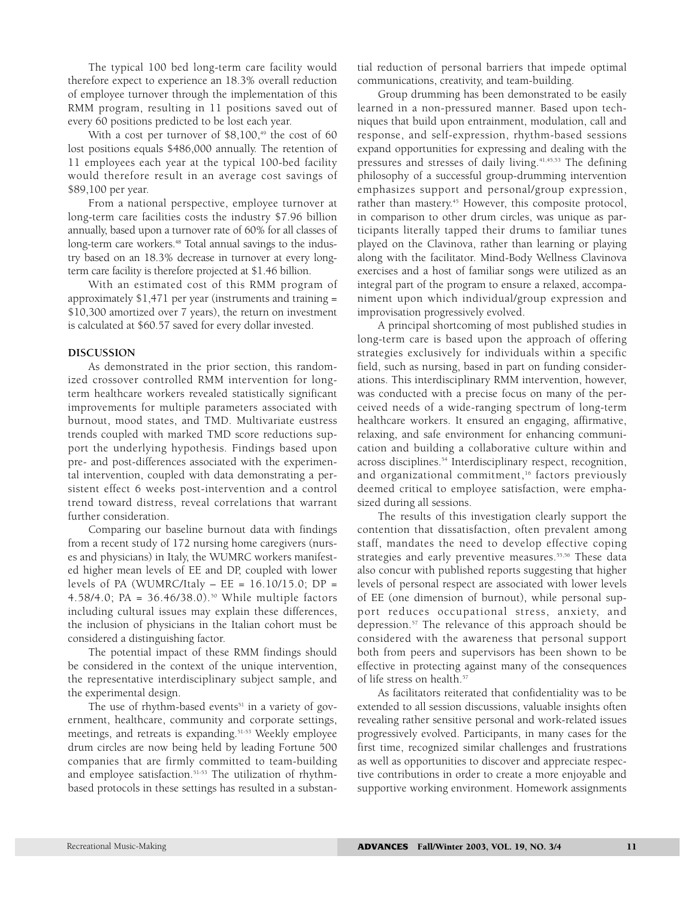The typical 100 bed long-term care facility would therefore expect to experience an 18.3% overall reduction of employee turnover through the implementation of this RMM program, resulting in 11 positions saved out of every 60 positions predicted to be lost each year.

With a cost per turnover of  $$8,100,49$  the cost of 60 lost positions equals \$486,000 annually. The retention of 11 employees each year at the typical 100-bed facility would therefore result in an average cost savings of \$89,100 per year.

From a national perspective, employee turnover at long-term care facilities costs the industry \$7.96 billion annually, based upon a turnover rate of 60% for all classes of long-term care workers.<sup>48</sup> Total annual savings to the industry based on an 18.3% decrease in turnover at every longterm care facility is therefore projected at \$1.46 billion.

With an estimated cost of this RMM program of approximately \$1,471 per year (instruments and training = \$10,300 amortized over 7 years), the return on investment is calculated at \$60.57 saved for every dollar invested.

#### **DISCUSSION**

As demonstrated in the prior section, this randomized crossover controlled RMM intervention for longterm healthcare workers revealed statistically significant improvements for multiple parameters associated with burnout, mood states, and TMD. Multivariate eustress trends coupled with marked TMD score reductions support the underlying hypothesis. Findings based upon pre- and post-differences associated with the experimental intervention, coupled with data demonstrating a persistent effect 6 weeks post-intervention and a control trend toward distress, reveal correlations that warrant further consideration.

Comparing our baseline burnout data with findings from a recent study of 172 nursing home caregivers (nurses and physicians) in Italy, the WUMRC workers manifested higher mean levels of EE and DP, coupled with lower levels of PA (WUMRC/Italy  $-EE = 16.10/15.0$ ; DP = 4.58/4.0; PA = 36.46/38.0).50 While multiple factors including cultural issues may explain these differences, the inclusion of physicians in the Italian cohort must be considered a distinguishing factor.

The potential impact of these RMM findings should be considered in the context of the unique intervention, the representative interdisciplinary subject sample, and the experimental design.

The use of rhythm-based events $51$  in a variety of government, healthcare, community and corporate settings, meetings, and retreats is expanding.51-53 Weekly employee drum circles are now being held by leading Fortune 500 companies that are firmly committed to team-building and employee satisfaction.<sup>51-53</sup> The utilization of rhythmbased protocols in these settings has resulted in a substantial reduction of personal barriers that impede optimal communications, creativity, and team-building.

Group drumming has been demonstrated to be easily learned in a non-pressured manner. Based upon techniques that build upon entrainment, modulation, call and response, and self-expression, rhythm-based sessions expand opportunities for expressing and dealing with the pressures and stresses of daily living.<sup>41,45,53</sup> The defining philosophy of a successful group-drumming intervention emphasizes support and personal/group expression, rather than mastery.<sup>45</sup> However, this composite protocol, in comparison to other drum circles, was unique as participants literally tapped their drums to familiar tunes played on the Clavinova, rather than learning or playing along with the facilitator. Mind-Body Wellness Clavinova exercises and a host of familiar songs were utilized as an integral part of the program to ensure a relaxed, accompaniment upon which individual/group expression and improvisation progressively evolved.

A principal shortcoming of most published studies in long-term care is based upon the approach of offering strategies exclusively for individuals within a specific field, such as nursing, based in part on funding considerations. This interdisciplinary RMM intervention, however, was conducted with a precise focus on many of the perceived needs of a wide-ranging spectrum of long-term healthcare workers. It ensured an engaging, affirmative, relaxing, and safe environment for enhancing communication and building a collaborative culture within and across disciplines.<sup>54</sup> Interdisciplinary respect, recognition, and organizational commitment,<sup>16</sup> factors previously deemed critical to employee satisfaction, were emphasized during all sessions.

The results of this investigation clearly support the contention that dissatisfaction, often prevalent among staff, mandates the need to develop effective coping strategies and early preventive measures.<sup>55,56</sup> These data also concur with published reports suggesting that higher levels of personal respect are associated with lower levels of EE (one dimension of burnout), while personal support reduces occupational stress, anxiety, and depression.57 The relevance of this approach should be considered with the awareness that personal support both from peers and supervisors has been shown to be effective in protecting against many of the consequences of life stress on health.<sup>57</sup>

As facilitators reiterated that confidentiality was to be extended to all session discussions, valuable insights often revealing rather sensitive personal and work-related issues progressively evolved. Participants, in many cases for the first time, recognized similar challenges and frustrations as well as opportunities to discover and appreciate respective contributions in order to create a more enjoyable and supportive working environment. Homework assignments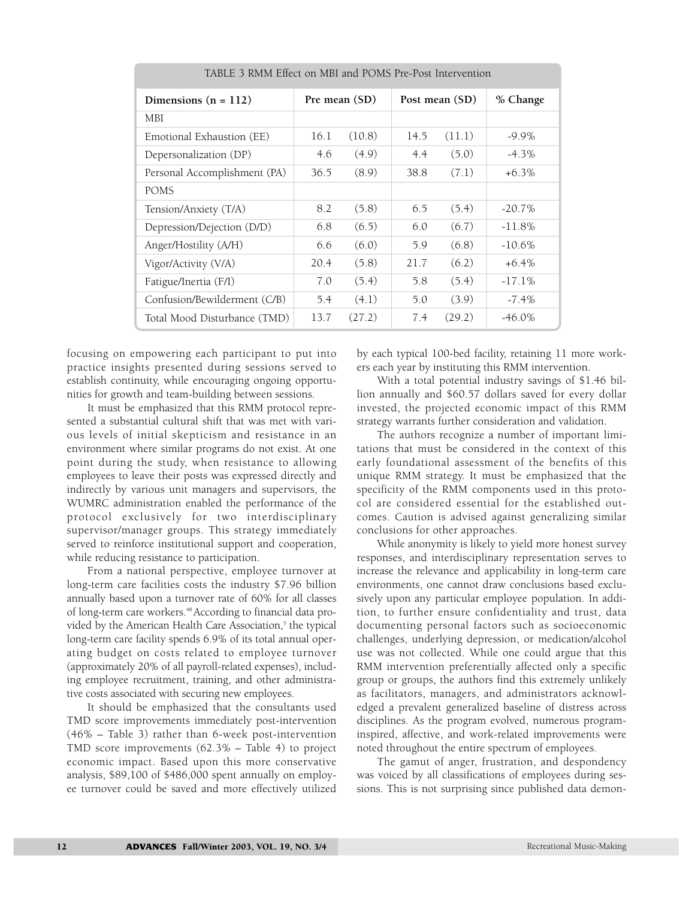| TABLE 3 RMM Effect on MBI and POMS Pre-Post Intervention |               |        |                |        |           |  |  |
|----------------------------------------------------------|---------------|--------|----------------|--------|-----------|--|--|
| Dimensions $(n = 112)$                                   | Pre mean (SD) |        | Post mean (SD) |        | % Change  |  |  |
| MBI.                                                     |               |        |                |        |           |  |  |
| Emotional Exhaustion (EE)                                | 16.1          | (10.8) | 14.5           | (11.1) | $-9.9\%$  |  |  |
| Depersonalization (DP)                                   | 4.6           | (4.9)  | 4.4            | (5.0)  | $-4.3%$   |  |  |
| Personal Accomplishment (PA)                             | 36.5          | (8.9)  | 38.8           | (7.1)  | $+6.3\%$  |  |  |
| <b>POMS</b>                                              |               |        |                |        |           |  |  |
| Tension/Anxiety (T/A)                                    | 8.2           | (5.8)  | 6.5            | (5.4)  | $-20.7\%$ |  |  |
| Depression/Dejection (D/D)                               | 6.8           | (6.5)  | 6.0            | (6.7)  | $-11.8\%$ |  |  |
| Anger/Hostility (A/H)                                    | 6.6           | (6.0)  | 5.9            | (6.8)  | $-10.6\%$ |  |  |
| Vigor/Activity (V/A)                                     | 20.4          | (5.8)  | 21.7           | (6.2)  | $+6.4\%$  |  |  |
| Fatigue/Inertia (F/I)                                    | 7.0           | (5.4)  | 5.8            | (5.4)  | $-17.1%$  |  |  |
| Confusion/Bewilderment (C/B)                             | 5.4           | (4.1)  | 5.0            | (3.9)  | $-7.4\%$  |  |  |
| Total Mood Disturbance (TMD)                             | 13.7          | (27.2) | 7.4            | (29.2) | $-46.0\%$ |  |  |

focusing on empowering each participant to put into practice insights presented during sessions served to establish continuity, while encouraging ongoing opportunities for growth and team-building between sessions.

It must be emphasized that this RMM protocol represented a substantial cultural shift that was met with various levels of initial skepticism and resistance in an environment where similar programs do not exist. At one point during the study, when resistance to allowing employees to leave their posts was expressed directly and indirectly by various unit managers and supervisors, the WUMRC administration enabled the performance of the protocol exclusively for two interdisciplinary supervisor/manager groups. This strategy immediately served to reinforce institutional support and cooperation, while reducing resistance to participation.

From a national perspective, employee turnover at long-term care facilities costs the industry \$7.96 billion annually based upon a turnover rate of 60% for all classes of long-term care workers.<sup>48</sup> According to financial data provided by the American Health Care Association,<sup>5</sup> the typical long-term care facility spends 6.9% of its total annual operating budget on costs related to employee turnover (approximately 20% of all payroll-related expenses), including employee recruitment, training, and other administrative costs associated with securing new employees.

It should be emphasized that the consultants used TMD score improvements immediately post-intervention (46% – Table 3) rather than 6-week post-intervention TMD score improvements (62.3% – Table 4) to project economic impact. Based upon this more conservative analysis, \$89,100 of \$486,000 spent annually on employee turnover could be saved and more effectively utilized by each typical 100-bed facility, retaining 11 more workers each year by instituting this RMM intervention.

With a total potential industry savings of \$1.46 billion annually and \$60.57 dollars saved for every dollar invested, the projected economic impact of this RMM strategy warrants further consideration and validation.

The authors recognize a number of important limitations that must be considered in the context of this early foundational assessment of the benefits of this unique RMM strategy. It must be emphasized that the specificity of the RMM components used in this protocol are considered essential for the established outcomes. Caution is advised against generalizing similar conclusions for other approaches.

While anonymity is likely to yield more honest survey responses, and interdisciplinary representation serves to increase the relevance and applicability in long-term care environments, one cannot draw conclusions based exclusively upon any particular employee population. In addition, to further ensure confidentiality and trust, data documenting personal factors such as socioeconomic challenges, underlying depression, or medication/alcohol use was not collected. While one could argue that this RMM intervention preferentially affected only a specific group or groups, the authors find this extremely unlikely as facilitators, managers, and administrators acknowledged a prevalent generalized baseline of distress across disciplines. As the program evolved, numerous programinspired, affective, and work-related improvements were noted throughout the entire spectrum of employees.

The gamut of anger, frustration, and despondency was voiced by all classifications of employees during sessions. This is not surprising since published data demon-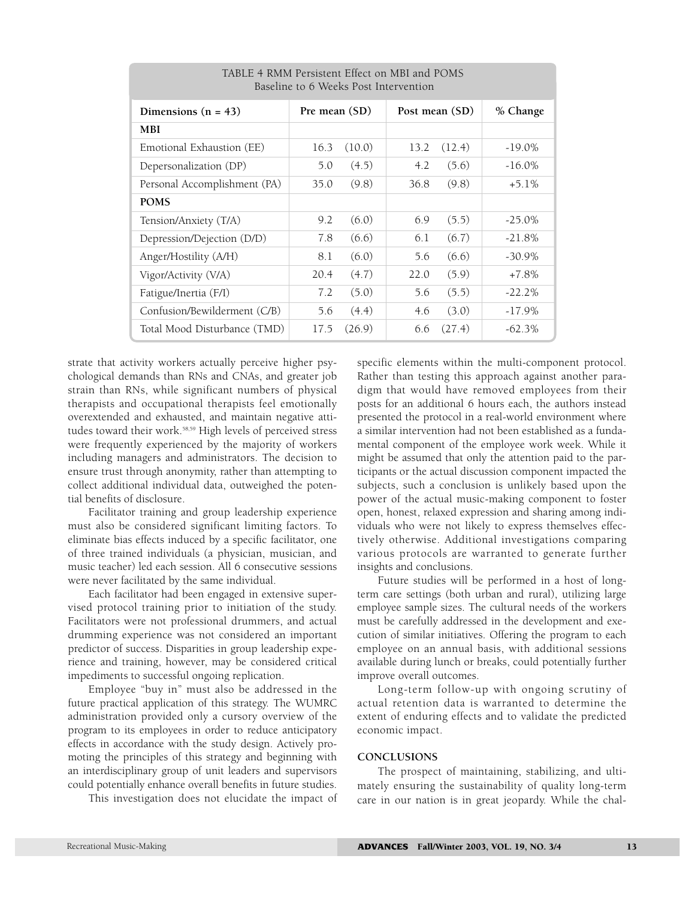| baseme to o weeks rost mervemon |               |        |                |        |           |  |  |  |
|---------------------------------|---------------|--------|----------------|--------|-----------|--|--|--|
| Dimensions $(n = 43)$           | Pre mean (SD) |        | Post mean (SD) |        | % Change  |  |  |  |
| <b>MBI</b>                      |               |        |                |        |           |  |  |  |
| Emotional Exhaustion (EE)       | 16.3          | (10.0) | 13.2           | (12.4) | $-19.0\%$ |  |  |  |
| Depersonalization (DP)          | 5.0           | (4.5)  | 4.2            | (5.6)  | $-16.0\%$ |  |  |  |
| Personal Accomplishment (PA)    | 35.0          | (9.8)  | 36.8           | (9.8)  | $+5.1\%$  |  |  |  |
| <b>POMS</b>                     |               |        |                |        |           |  |  |  |
| Tension/Anxiety (T/A)           | 9.2           | (6.0)  | 6.9            | (5.5)  | $-25.0\%$ |  |  |  |
| Depression/Dejection (D/D)      | 7.8           | (6.6)  | 6.1            | (6.7)  | $-21.8%$  |  |  |  |
| Anger/Hostility (A/H)           | 8.1           | (6.0)  | 5.6            | (6.6)  | $-30.9\%$ |  |  |  |
| Vigor/Activity (V/A)            | 20.4          | (4.7)  | 22.0           | (5.9)  | $+7.8%$   |  |  |  |
| Fatigue/Inertia (F/I)           | 7.2           | (5.0)  | 5.6            | (5.5)  | $-22.2%$  |  |  |  |
| Confusion/Bewilderment (C/B)    | 5.6           | (4.4)  | 4.6            | (3.0)  | $-17.9%$  |  |  |  |
| Total Mood Disturbance (TMD)    | 17.5          | (26.9) | 6.6            | (27.4) | $-62.3%$  |  |  |  |

TABLE 4 RMM Persistent Effect on MBI and POMS  $B = 6.332 \pm 1.5$ 

strate that activity workers actually perceive higher psychological demands than RNs and CNAs, and greater job strain than RNs, while significant numbers of physical therapists and occupational therapists feel emotionally overextended and exhausted, and maintain negative attitudes toward their work.<sup>58,59</sup> High levels of perceived stress were frequently experienced by the majority of workers including managers and administrators. The decision to ensure trust through anonymity, rather than attempting to collect additional individual data, outweighed the potential benefits of disclosure.

Facilitator training and group leadership experience must also be considered significant limiting factors. To eliminate bias effects induced by a specific facilitator, one of three trained individuals (a physician, musician, and music teacher) led each session. All 6 consecutive sessions were never facilitated by the same individual.

Each facilitator had been engaged in extensive supervised protocol training prior to initiation of the study. Facilitators were not professional drummers, and actual drumming experience was not considered an important predictor of success. Disparities in group leadership experience and training, however, may be considered critical impediments to successful ongoing replication.

Employee "buy in" must also be addressed in the future practical application of this strategy. The WUMRC administration provided only a cursory overview of the program to its employees in order to reduce anticipatory effects in accordance with the study design. Actively promoting the principles of this strategy and beginning with an interdisciplinary group of unit leaders and supervisors could potentially enhance overall benefits in future studies.

This investigation does not elucidate the impact of

specific elements within the multi-component protocol. Rather than testing this approach against another paradigm that would have removed employees from their posts for an additional 6 hours each, the authors instead presented the protocol in a real-world environment where a similar intervention had not been established as a fundamental component of the employee work week. While it might be assumed that only the attention paid to the participants or the actual discussion component impacted the subjects, such a conclusion is unlikely based upon the power of the actual music-making component to foster open, honest, relaxed expression and sharing among individuals who were not likely to express themselves effectively otherwise. Additional investigations comparing various protocols are warranted to generate further insights and conclusions.

Future studies will be performed in a host of longterm care settings (both urban and rural), utilizing large employee sample sizes. The cultural needs of the workers must be carefully addressed in the development and execution of similar initiatives. Offering the program to each employee on an annual basis, with additional sessions available during lunch or breaks, could potentially further improve overall outcomes.

Long-term follow-up with ongoing scrutiny of actual retention data is warranted to determine the extent of enduring effects and to validate the predicted economic impact.

#### **CONCLUSIONS**

The prospect of maintaining, stabilizing, and ultimately ensuring the sustainability of quality long-term care in our nation is in great jeopardy. While the chal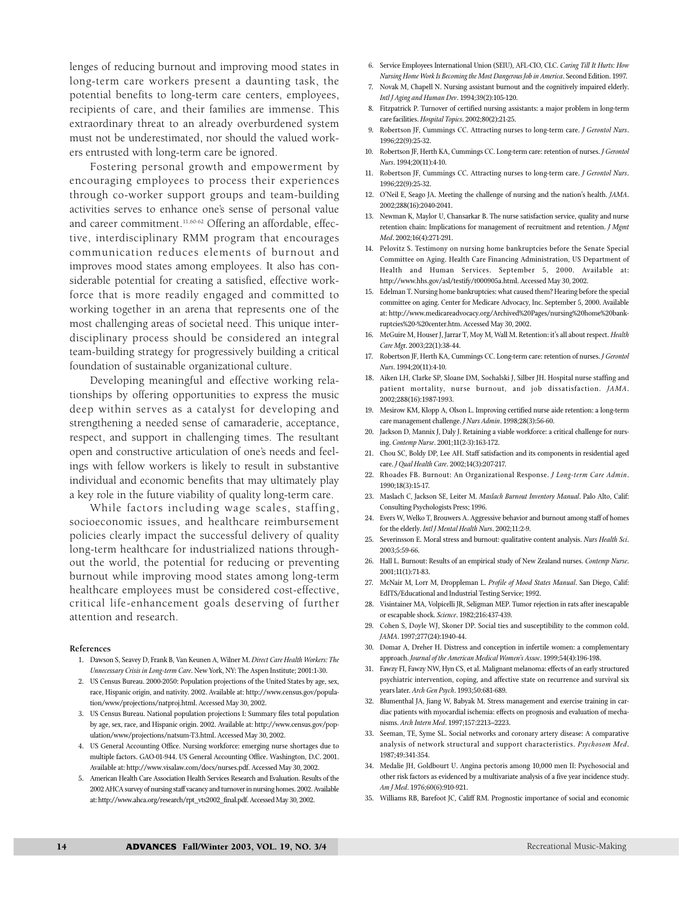lenges of reducing burnout and improving mood states in long-term care workers present a daunting task, the potential benefits to long-term care centers, employees, recipients of care, and their families are immense. This extraordinary threat to an already overburdened system must not be underestimated, nor should the valued workers entrusted with long-term care be ignored.

Fostering personal growth and empowerment by encouraging employees to process their experiences through co-worker support groups and team-building activities serves to enhance one's sense of personal value and career commitment.<sup>11,60-62</sup> Offering an affordable, effective, interdisciplinary RMM program that encourages communication reduces elements of burnout and improves mood states among employees. It also has considerable potential for creating a satisfied, effective workforce that is more readily engaged and committed to working together in an arena that represents one of the most challenging areas of societal need. This unique interdisciplinary process should be considered an integral team-building strategy for progressively building a critical foundation of sustainable organizational culture.

Developing meaningful and effective working relationships by offering opportunities to express the music deep within serves as a catalyst for developing and strengthening a needed sense of camaraderie, acceptance, respect, and support in challenging times. The resultant open and constructive articulation of one's needs and feelings with fellow workers is likely to result in substantive individual and economic benefits that may ultimately play a key role in the future viability of quality long-term care.

While factors including wage scales, staffing, socioeconomic issues, and healthcare reimbursement policies clearly impact the successful delivery of quality long-term healthcare for industrialized nations throughout the world, the potential for reducing or preventing burnout while improving mood states among long-term healthcare employees must be considered cost-effective, critical life-enhancement goals deserving of further attention and research.

#### **References**

- 1. Dawson S, Seavey D, Frank B, Van Keunen A, Wilner M. *Direct Care Health Workers: The Unnecessary Crisis in Long-term Care*. New York, NY: The Aspen Institute; 2001:1-30.
- 2. US Census Bureau. 2000-2050: Population projections of the United States by age, sex, race, Hispanic origin, and nativity. 2002. Available at: http://www.census.gov/population/www/projections/natproj.html. Accessed May 30, 2002.
- 3. US Census Bureau. National population projections I: Summary files total population by age, sex, race, and Hispanic origin. 2002. Available at: http://www.census.gov/population/www/projections/natsum-T3.html. Accessed May 30, 2002.
- 4. US General Accounting Office. Nursing workforce: emerging nurse shortages due to multiple factors. GAO-01-944. US General Accounting Office. Washington, D.C. 2001. Available at: http://www.visalaw.com/docs/nurses.pdf. Accessed May 30, 2002.
- 5. American Health Care Association Health Services Research and Evaluation. Results of the 2002 AHCA survey of nursing staff vacancy and turnover in nursing homes. 2002. Available at: http://www.ahca.org/research/rpt\_vts2002\_final.pdf. Accessed May 30, 2002.
- 6. Service Employees International Union (SEIU), AFL-CIO, CLC. *Caring Till It Hurts: How Nursing Home Work Is Becoming the Most Dangerous Job in America*. Second Edition. 1997.
- 7. Novak M, Chapell N. Nursing assistant burnout and the cognitively impaired elderly. *Intl J Aging and Human Dev*. 1994;39(2):105-120.
- 8. Fitzpatrick P. Turnover of certified nursing assistants: a major problem in long-term care facilities. *Hospital Topics*. 2002;80(2):21-25.
- 9. Robertson JF, Cummings CC. Attracting nurses to long-term care. *J Gerontol Nurs*. 1996;22(9):25-32.
- 10. Robertson JF, Herth KA, Cummings CC. Long-term care: retention of nurses. *J Gerontol Nurs*. 1994;20(11):4-10.
- 11. Robertson JF, Cummings CC. Attracting nurses to long-term care. *J Gerontol Nurs*. 1996;22(9):25-32.
- 12. O'Neil E, Seago JA. Meeting the challenge of nursing and the nation's health. *JAMA*. 2002;288(16):2040-2041.
- 13. Newman K, Maylor U, Chansarkar B. The nurse satisfaction service, quality and nurse retention chain: Implications for management of recruitment and retention. *J Mgmt Med*. 2002;16(4):271-291.
- 14. Pelovitz S. Testimony on nursing home bankruptcies before the Senate Special Committee on Aging. Health Care Financing Administration, US Department of Health and Human Services. September 5, 2000. Available at: http://www.hhs.gov/asl/testify/t000905a.html. Accessed May 30, 2002.
- 15. Edelman T. Nursing home bankruptcies: what caused them? Hearing before the special committee on aging. Center for Medicare Advocacy, Inc. September 5, 2000. Available at: http://www.medicareadvocacy.org/Archived%20Pages/nursing%20home%20bankruptcies%20-%20center.htm. Accessed May 30, 2002.
- 16. McGuire M, Houser J, Jarrar T, Moy M, Wall M. Retention: it's all about respect. *Health Care Mg*r. 2003;22(1):38-44.
- 17. Robertson JF, Herth KA, Cummings CC. Long-term care: retention of nurses. *J Gerontol Nurs*. 1994;20(11):4-10.
- 18. Aiken LH, Clarke SP, Sloane DM, Sochalski J, Silber JH. Hospital nurse staffing and patient mortality, nurse burnout, and job dissatisfaction. *JAMA*. 2002;288(16):1987-1993.
- 19. Mesirow KM, Klopp A, Olson L. Improving certified nurse aide retention: a long-term care management challenge. *J Nurs Admin*. 1998;28(3):56-60.
- 20. Jackson D, Mannix J, Daly J. Retaining a viable workforce: a critical challenge for nursing. *Contemp Nurse*. 2001;11(2-3):163-172.
- 21. Chou SC, Boldy DP, Lee AH. Staff satisfaction and its components in residential aged care. *J Qual Health Care*. 2002;14(3):207-217.
- 22. Rhoades FB. Burnout: An Organizational Response. *J Long-term Care Admin*. 1990;18(3):15-17.
- 23. Maslach C, Jackson SE, Leiter M. *Maslach Burnout Inventory Manual*. Palo Alto, Calif: Consulting Psychologists Press; 1996.
- 24. Evers W, Welko T, Brouwers A. Aggressive behavior and burnout among staff of homes for the elderly. *Intl J Mental Health Nurs*. 2002;11:2-9.
- 25. Severinsson E. Moral stress and burnout: qualitative content analysis. *Nurs Health Sci*. 2003;5:59-66.
- 26. Hall L. Burnout: Results of an empirical study of New Zealand nurses. *Contemp Nurse*. 2001;11(1):71-83.
- 27. McNair M, Lorr M, Droppleman L. *Profile of Mood States Manual*. San Diego, Calif: EdITS/Educational and Industrial Testing Service; 1992.
- 28. Visintainer MA, Volpicelli JR, Seligman MEP. Tumor rejection in rats after inescapable or escapable shock. *Science*. 1982;216:437-439.
- 29. Cohen S, Doyle WJ, Skoner DP. Social ties and susceptibility to the common cold. *JAMA*. 1997;277(24):1940-44.
- 30. Domar A, Dreher H. Distress and conception in infertile women: a complementary approach. *Journal of the American Medical Women's Assoc*. 1999;54(4):196-198.
- 31. Fawzy FI, Fawzy NW, Hyn CS, et al. Malignant melanoma: effects of an early structured psychiatric intervention, coping, and affective state on recurrence and survival six years later. *Arch Gen Psych*. 1993;50:681-689.
- 32. Blumenthal JA, Jiang W, Babyak M. Stress management and exercise training in cardiac patients with myocardial ischemia: effects on prognosis and evaluation of mechanisms. *Arch Intern Med*. 1997;157:2213–2223.
- 33. Seeman, TE, Syme SL. Social networks and coronary artery disease: A comparative analysis of network structural and support characteristics. *Psychosom Med*. 1987;49:341-354.
- 34. Medalie JH, Goldbourt U. Angina pectoris among 10,000 men II: Psychosocial and other risk factors as evidenced by a multivariate analysis of a five year incidence study. *Am J Med*. 1976;60(6):910-921.
- 35. Williams RB, Barefoot JC, Califf RM. Prognostic importance of social and economic